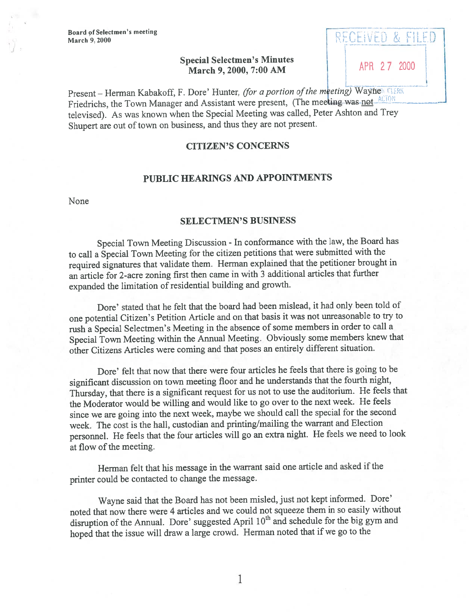Board of Selectmen's meeting March 9, 2000

# Special Selectmen's Minutes March 9, 2000, 7:00 AM APR 27 2000

RECEIVED & FILED

Present - Herman Kabakoff, F. Dore' Hunter, (for a portion of the meeting) Wayner CLERK Friedrichs, the Town Manager and Assistant were present, (The meeting was not ACTON televised). As was known when the Special Meeting was called, Peter Ashton and Trey Shupert are out of town on business, and thus they are not present.

## CITIZEN'S CONCERNS

### PUBLIC HEARINGS AND APPOINTMENTS

None

### SELECTMEN'S BUSINESS

Special Town Meeting Discussion - In conformance with the law, the Board has to call <sup>a</sup> Special Town Meeting for the citizen petitions that were submitted with the required signatures that validate them. Herman explained that the petitioner brought in an article for 2-acre zoning first then came in with <sup>3</sup> additional articles that further expanded the limitation of residential building and growth.

Dore' stated that he felt that the board had been mislead, it had only been told of one potential Citizen's Petition Article and on that basis it was not unreasonable to try to rush <sup>a</sup> Special Selectmen's Meeting in the absence of some members in order to call <sup>a</sup> Special Town Meeting within the Annual Meeting. Obviously some members knew that other Citizens Articles were coming and that poses an entirely different situation.

Dore' felt that now that there were four articles he feels that there is going to be significant discussion on town meeting floor and he understands that the fourth night, Thursday, that there is <sup>a</sup> significant reques<sup>t</sup> for us not to use the auditorium. He feels that the Moderator would be willing and would like to go over to the next week. He feels since we are going into the next week, maybe we should call the special for the second week. The cost is the hail, custodian and printing/mailing the warrant and Election personnel. He feels that the four articles will go an extra night. He feels we need to look at flow of the meeting.

Herman felt that his message in the warrant said one article and asked if the printer could be contacted to change the message.

Wayne said that the Board has not been misled, just not kept informed. Dore' noted that now there were <sup>4</sup> articles and we could not squeeze them in so easily without disruption of the Annual. Dore' suggested April 10<sup>th</sup> and schedule for the big gym and hoped that the issue will draw <sup>a</sup> large crowd. Herman noted that if we go to the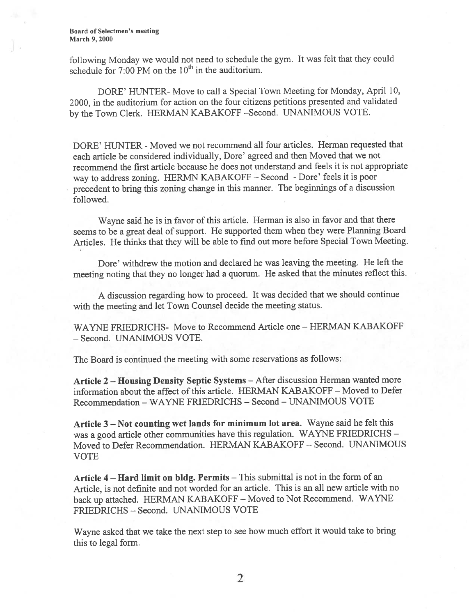Board of Selectmen's meeting March 9, 2000

following Monday we would not need to schedule the gym. It was felt that they could schedule for  $7:00$  PM on the  $10<sup>th</sup>$  in the auditorium.

DORE' HUNTER- Move to call <sup>a</sup> Special Town Meeting for Monday, April 10, 2000, in the auditorium for action on the four citizens petitions presented and validated by the Town Clerk. HERMAN KABAKOFF -Second. UNANIMOUS VOTE.

DORE' HUNTER - Moved we not recommend all four articles. Herman requested that each article be considered individually, Dore' agree<sup>d</sup> and then Moved that we not recommend the first article because he does not understand and feels it is not appropriate way to address zoning. HERMN KABAKOFF — Second -Dore' feels it is poor precedent to bring this zoning change in this manner. The beginnings of <sup>a</sup> discussion followed.

Wayne said he is in favor of this article. Herman is also in favor and that there seems to be a great deal of support. He supported them when they were Planning Board Articles. He thinks that they will be able to find out more before Special Town Meeting.

Dore' withdrew the motion and declared he was leaving the meeting. He left the meeting noting that they no longer had <sup>a</sup> quorum. He asked that the minutes reflect this.

<sup>A</sup> discussion regarding how to proceed. It was decided that we should continue with the meeting and let Town Counsel decide the meeting status.

WAYNE FRIEDRICHS- Move to Recommend Article one – HERMAN KABAKOFF - Second. UNANIMOUS VOTE.

The Board is continued the meeting with some reservations as follows:

Article <sup>2</sup> — Housing Density Septic Systems — After discussion Herman wanted more information about the affect of this article. HERMAN KABAKOFF – Moved to Defer Recommendation -WAYNE FRIEDRICHS — Second -UNANIMOUS VOTE

Article <sup>3</sup> — Not counting wet lands for minimum lot area. Wayne said he felt this was <sup>a</sup> goo<sup>d</sup> article other communities have this regulation. WAYNE FRIEDRICHS — Moved to Defer Recommendation. HERMAN KABAKOFF — Second. UNANIMOUS VOTE

Article <sup>4</sup> — Hard limit on bldg. Permits — This submittal is not in the form of an Article, is not definite and not worded for an article. This is an all new article with no back up attached. HERMAN KABAKOFF — Moved to Not Recommend. WAYNE FRIEDRICHS - Second. UNANIMOUS VOTE

Wayne asked that we take the next step to see how much effort it would take to bring this to legal form.